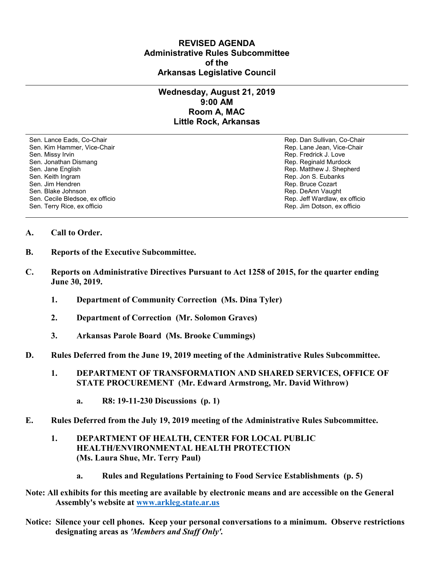## **REVISED AGENDA Administrative Rules Subcommittee of the Arkansas Legislative Council**

## **Wednesday, August 21, 2019 9:00 AM Room A, MAC Little Rock, Arkansas**

Sen. Lance Eads, Co-Chair Rep. Dan Sullivan, Co-Chair Sen. Kim Hammer, Vice-Chair **Rep. Lane Jean, Vice-Chair** Rep. Lane Jean, Vice-Chair Sen. Missy Irvin November 2012 19:00 19:00 19:00 19:00 19:00 19:00 19:00 19:00 19:00 19:00 19:00 19:00 19:00 1 Sen. Jonathan Dismang Rep. Reginald Murdock Sen. Jane English Rep. Matthew J. Shepherd Rep. Matthew J. Shepherd Sen. Keith Ingram Rep. Jon S. Eubanks (Sen. Keith Ingram Rep. Jon S. Eubanks (Sen. Jon S. Eubanks (Sen. Jon S. Eubanks (Sen. Jon S. Eubanks (Sen. Jon S. Eubanks (Sen. Jon S. Eubanks (Sen. Jon S. Eubanks (Sen. Jon S. Eubank Sen. Blake Johnson (Sen. 1999)<br>Sen. Cecile Bledsoe, ex officio (Sen. 1999)<br>Sen. Cecile Bledsoe, ex officio (Sen. 1999) Sen. Cecile Bledsoe, ex officio Sen. Terry Rice, ex officio Rep. Jim Dotson, ex officio

Rep. Bruce Cozart

## **A. Call to Order.**

- **B. Reports of the Executive Subcommittee.**
- **C. Reports on Administrative Directives Pursuant to Act 1258 of 2015, for the quarter ending June 30, 2019.**
	- **1. Department of Community Correction (Ms. Dina Tyler)**
	- **2. Department of Correction (Mr. Solomon Graves)**
	- **3. Arkansas Parole Board (Ms. Brooke Cummings)**
- **D. Rules Deferred from the June 19, 2019 meeting of the Administrative Rules Subcommittee.** 
	- **1. DEPARTMENT OF TRANSFORMATION AND SHARED SERVICES, OFFICE OF STATE PROCUREMENT (Mr. Edward Armstrong, Mr. David Withrow)**
		- **a. R8: 19-11-230 Discussions (p. 1)**
- **E. Rules Deferred from the July 19, 2019 meeting of the Administrative Rules Subcommittee.**
	- **1. DEPARTMENT OF HEALTH, CENTER FOR LOCAL PUBLIC HEALTH/ENVIRONMENTAL HEALTH PROTECTION (Ms. Laura Shue, Mr. Terry Paul)**
		- **a. Rules and Regulations Pertaining to Food Service Establishments (p. 5)**
- **Note: All exhibits for this meeting are available by electronic means and are accessible on the General Assembly's website at [www.arkleg.state.ar.us](http://www.arkleg.state.ar.us)**
- **Notice: Silence your cell phones. Keep your personal conversations to a minimum. Observe restrictions designating areas as** *'Members and Staff Only'.*